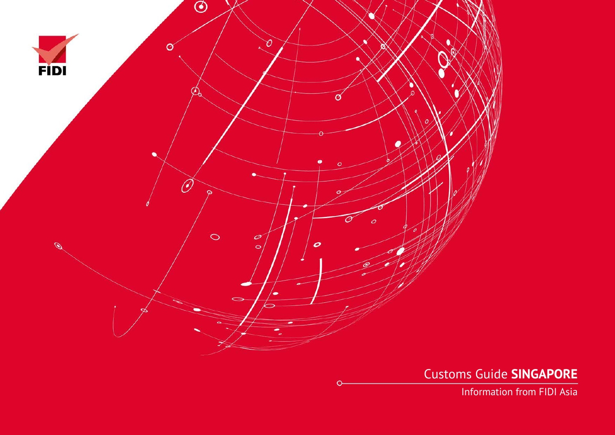

Customs Guide **SINGAPORE**

Information from FIDI Asia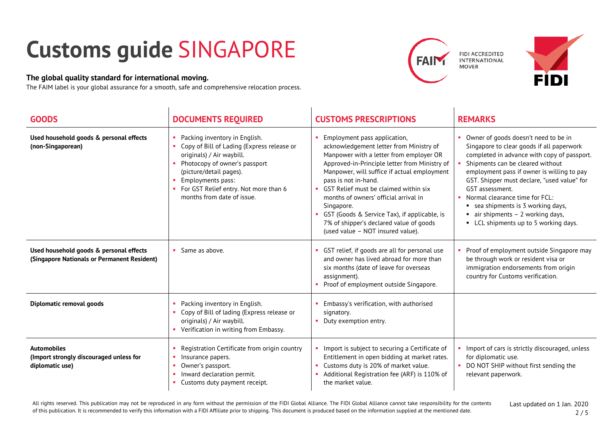## **Customs guide** SINGAPORE

## **The global quality standard for international moving.**

The FAIM label is your global assurance for a smooth, safe and comprehensive relocation process.





| <b>GOODS</b>                                                                           | <b>DOCUMENTS REQUIRED</b>                                                                                                                                                                                                                                          | <b>CUSTOMS PRESCRIPTIONS</b>                                                                                                                                                                                                                                                                                                                                                                                                                                                 | <b>REMARKS</b>                                                                                                                                                                                                                                                                                                                                                                                                                                          |
|----------------------------------------------------------------------------------------|--------------------------------------------------------------------------------------------------------------------------------------------------------------------------------------------------------------------------------------------------------------------|------------------------------------------------------------------------------------------------------------------------------------------------------------------------------------------------------------------------------------------------------------------------------------------------------------------------------------------------------------------------------------------------------------------------------------------------------------------------------|---------------------------------------------------------------------------------------------------------------------------------------------------------------------------------------------------------------------------------------------------------------------------------------------------------------------------------------------------------------------------------------------------------------------------------------------------------|
| Used household goods & personal effects<br>(non-Singaporean)                           | Packing inventory in English.<br>Copy of Bill of Lading (Express release or<br>originals) / Air waybill.<br>Photocopy of owner's passport<br>(picture/detail pages).<br>Employments pass:<br>• For GST Relief entry. Not more than 6<br>months from date of issue. | Employment pass application,<br>acknowledgement letter from Ministry of<br>Manpower with a letter from employer OR<br>Approved-in-Principle letter from Ministry of<br>Manpower, will suffice if actual employment<br>pass is not in-hand.<br>• GST Relief must be claimed within six<br>months of owners' official arrival in<br>Singapore.<br>GST (Goods & Service Tax), if applicable, is<br>7% of shipper's declared value of goods<br>(used value - NOT insured value). | Owner of goods doesn't need to be in<br>Singapore to clear goods if all paperwork<br>completed in advance with copy of passport.<br>Shipments can be cleared without<br>employment pass if owner is willing to pay<br>GST. Shipper must declare, "used value" for<br>GST assessment.<br>Normal clearance time for FCL:<br>• sea shipments is 3 working days,<br>$\blacksquare$ air shipments - 2 working days,<br>• LCL shipments up to 5 working days. |
| Used household goods & personal effects<br>(Singapore Nationals or Permanent Resident) | Same as above.                                                                                                                                                                                                                                                     | GST relief, if goods are all for personal use<br>and owner has lived abroad for more than<br>six months (date of leave for overseas<br>assignment).<br>Proof of employment outside Singapore.                                                                                                                                                                                                                                                                                | Proof of employment outside Singapore may<br>be through work or resident visa or<br>immigration endorsements from origin<br>country for Customs verification.                                                                                                                                                                                                                                                                                           |
| Diplomatic removal goods                                                               | Packing inventory in English.<br>Copy of Bill of lading (Express release or<br>originals) / Air waybill.<br>• Verification in writing from Embassy.                                                                                                                | Embassy's verification, with authorised<br>signatory.<br>Duty exemption entry.                                                                                                                                                                                                                                                                                                                                                                                               |                                                                                                                                                                                                                                                                                                                                                                                                                                                         |
| <b>Automobiles</b><br>(Import strongly discouraged unless for<br>diplomatic use)       | Registration Certificate from origin country<br>Insurance papers.<br>Owner's passport.<br>Inward declaration permit.<br>Customs duty payment receipt.                                                                                                              | • Import is subject to securing a Certificate of<br>Entitlement in open bidding at market rates.<br>Customs duty is 20% of market value.<br>Additional Registration fee (ARF) is 110% of<br>the market value.                                                                                                                                                                                                                                                                | Import of cars is strictly discouraged, unless<br>for diplomatic use.<br>• DO NOT SHIP without first sending the<br>relevant paperwork.                                                                                                                                                                                                                                                                                                                 |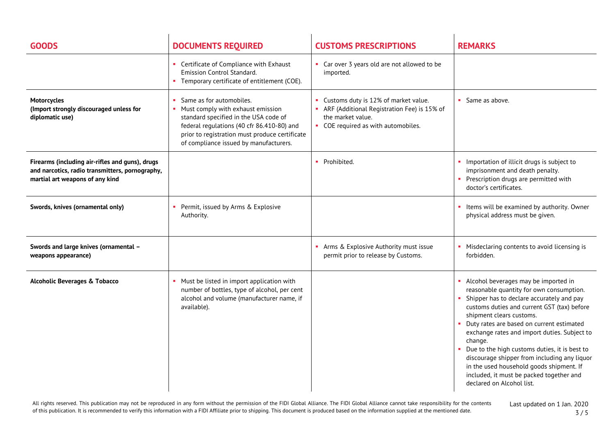| <b>GOODS</b>                                                                                                                          | <b>DOCUMENTS REQUIRED</b>                                                                                                                                                                                                                        | <b>CUSTOMS PRESCRIPTIONS</b>                                                                                                                      | <b>REMARKS</b>                                                                                                                                                                                                                                                                                                                                                                                                                                                                                                                             |
|---------------------------------------------------------------------------------------------------------------------------------------|--------------------------------------------------------------------------------------------------------------------------------------------------------------------------------------------------------------------------------------------------|---------------------------------------------------------------------------------------------------------------------------------------------------|--------------------------------------------------------------------------------------------------------------------------------------------------------------------------------------------------------------------------------------------------------------------------------------------------------------------------------------------------------------------------------------------------------------------------------------------------------------------------------------------------------------------------------------------|
|                                                                                                                                       | Certificate of Compliance with Exhaust<br><b>Emission Control Standard.</b><br>Temporary certificate of entitlement (COE).                                                                                                                       | • Car over 3 years old are not allowed to be<br>imported.                                                                                         |                                                                                                                                                                                                                                                                                                                                                                                                                                                                                                                                            |
| <b>Motorcycles</b><br>(Import strongly discouraged unless for<br>diplomatic use)                                                      | Same as for automobiles.<br>Must comply with exhaust emission<br>standard specified in the USA code of<br>federal regulations (40 cfr 86.410-80) and<br>prior to registration must produce certificate<br>of compliance issued by manufacturers. | • Customs duty is 12% of market value.<br>ARF (Additional Registration Fee) is 15% of<br>the market value.<br>• COE required as with automobiles. | • Same as above.                                                                                                                                                                                                                                                                                                                                                                                                                                                                                                                           |
| Firearms (including air-rifles and guns), drugs<br>and narcotics, radio transmitters, pornography,<br>martial art weapons of any kind |                                                                                                                                                                                                                                                  | • Prohibited.                                                                                                                                     | Importation of illicit drugs is subject to<br>imprisonment and death penalty.<br>• Prescription drugs are permitted with<br>doctor's certificates.                                                                                                                                                                                                                                                                                                                                                                                         |
| Swords, knives (ornamental only)                                                                                                      | Permit, issued by Arms & Explosive<br>Authority.                                                                                                                                                                                                 |                                                                                                                                                   | Items will be examined by authority. Owner<br>п.<br>physical address must be given.                                                                                                                                                                                                                                                                                                                                                                                                                                                        |
| Swords and large knives (ornamental -<br>weapons appearance)                                                                          |                                                                                                                                                                                                                                                  | • Arms & Explosive Authority must issue<br>permit prior to release by Customs.                                                                    | • Misdeclaring contents to avoid licensing is<br>forbidden.                                                                                                                                                                                                                                                                                                                                                                                                                                                                                |
| <b>Alcoholic Beverages &amp; Tobacco</b>                                                                                              | Must be listed in import application with<br>number of bottles, type of alcohol, per cent<br>alcohol and volume (manufacturer name, if<br>available).                                                                                            |                                                                                                                                                   | • Alcohol beverages may be imported in<br>reasonable quantity for own consumption.<br>Shipper has to declare accurately and pay<br>customs duties and current GST (tax) before<br>shipment clears customs.<br>• Duty rates are based on current estimated<br>exchange rates and import duties. Subject to<br>change.<br>Due to the high customs duties, it is best to<br>discourage shipper from including any liquor<br>in the used household goods shipment. If<br>included, it must be packed together and<br>declared on Alcohol list. |

All rights reserved. This publication may not be reproduced in any form without the permission of the FIDI Global Alliance. The FIDI Global Alliance cannot take responsibility for the contents of this publication. It is recommended to verify this information with a FIDI Affiliate prior to shipping. This document is produced based on the information supplied at the mentioned date.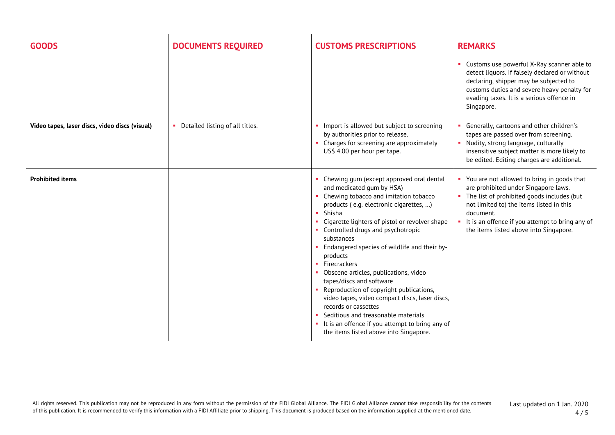| <b>GOODS</b>                                   | <b>DOCUMENTS REQUIRED</b>         | <b>CUSTOMS PRESCRIPTIONS</b>                                                                                                                                                                                                                                                                                                                                                                                                                                                                                                                                                                                                                                                               | <b>REMARKS</b>                                                                                                                                                                                                                                                                             |
|------------------------------------------------|-----------------------------------|--------------------------------------------------------------------------------------------------------------------------------------------------------------------------------------------------------------------------------------------------------------------------------------------------------------------------------------------------------------------------------------------------------------------------------------------------------------------------------------------------------------------------------------------------------------------------------------------------------------------------------------------------------------------------------------------|--------------------------------------------------------------------------------------------------------------------------------------------------------------------------------------------------------------------------------------------------------------------------------------------|
|                                                |                                   |                                                                                                                                                                                                                                                                                                                                                                                                                                                                                                                                                                                                                                                                                            | • Customs use powerful X-Ray scanner able to<br>detect liquors. If falsely declared or without<br>declaring, shipper may be subjected to<br>customs duties and severe heavy penalty for<br>evading taxes. It is a serious offence in<br>Singapore.                                         |
| Video tapes, laser discs, video discs (visual) | • Detailed listing of all titles. | • Import is allowed but subject to screening<br>by authorities prior to release.<br>Charges for screening are approximately<br>US\$ 4.00 per hour per tape.                                                                                                                                                                                                                                                                                                                                                                                                                                                                                                                                | Generally, cartoons and other children's<br>tapes are passed over from screening.<br>• Nudity, strong language, culturally<br>insensitive subject matter is more likely to<br>be edited. Editing charges are additional.                                                                   |
| <b>Prohibited items</b>                        |                                   | • Chewing gum (except approved oral dental<br>and medicated gum by HSA)<br>Chewing tobacco and imitation tobacco<br>products (e.g. electronic cigarettes, )<br>Shisha<br>Cigarette lighters of pistol or revolver shape<br>• Controlled drugs and psychotropic<br>substances<br>Endangered species of wildlife and their by-<br>products<br>Firecrackers<br>• Obscene articles, publications, video<br>tapes/discs and software<br>Reproduction of copyright publications,<br>video tapes, video compact discs, laser discs,<br>records or cassettes<br>Seditious and treasonable materials<br>• It is an offence if you attempt to bring any of<br>the items listed above into Singapore. | • You are not allowed to bring in goods that<br>are prohibited under Singapore laws.<br>• The list of prohibited goods includes (but<br>not limited to) the items listed in this<br>document.<br>It is an offence if you attempt to bring any of<br>the items listed above into Singapore. |